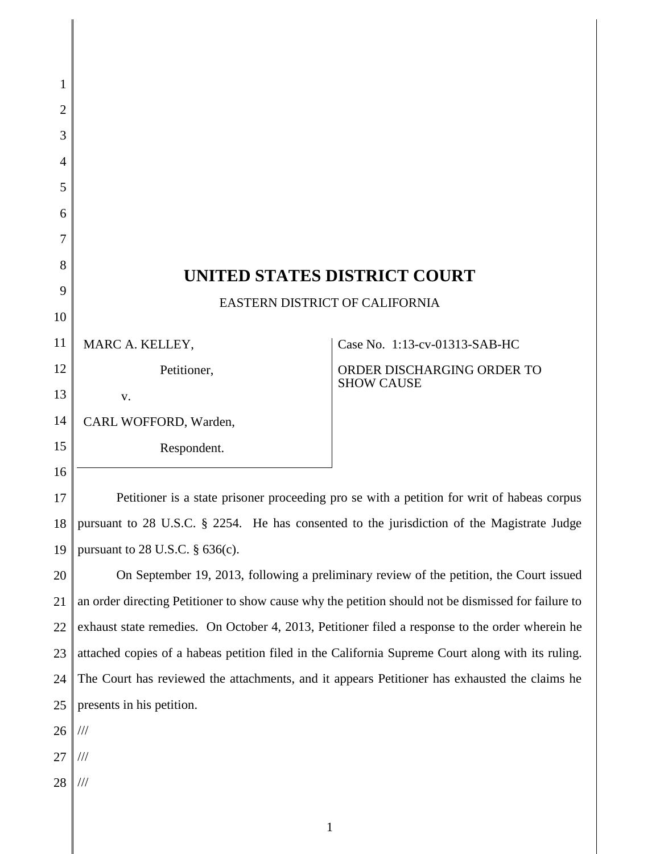| 1              |                                                                                                     |                                                 |  |
|----------------|-----------------------------------------------------------------------------------------------------|-------------------------------------------------|--|
| $\overline{2}$ |                                                                                                     |                                                 |  |
| 3              |                                                                                                     |                                                 |  |
| 4              |                                                                                                     |                                                 |  |
| 5              |                                                                                                     |                                                 |  |
| 6              |                                                                                                     |                                                 |  |
| 7              |                                                                                                     |                                                 |  |
| 8              |                                                                                                     |                                                 |  |
| 9              | UNITED STATES DISTRICT COURT<br>EASTERN DISTRICT OF CALIFORNIA                                      |                                                 |  |
| 10             |                                                                                                     |                                                 |  |
| 11             | MARC A. KELLEY,                                                                                     | Case No. 1:13-cv-01313-SAB-HC                   |  |
| 12             | Petitioner,                                                                                         | ORDER DISCHARGING ORDER TO<br><b>SHOW CAUSE</b> |  |
| 13             | V.                                                                                                  |                                                 |  |
| 14             | CARL WOFFORD, Warden,                                                                               |                                                 |  |
| 15             | Respondent.                                                                                         |                                                 |  |
| 16             |                                                                                                     |                                                 |  |
| 17             | Petitioner is a state prisoner proceeding pro se with a petition for writ of habeas corpus          |                                                 |  |
| 18             | pursuant to 28 U.S.C. § 2254. He has consented to the jurisdiction of the Magistrate Judge          |                                                 |  |
| 19             | pursuant to 28 U.S.C. $\S$ 636(c).                                                                  |                                                 |  |
| 20             | On September 19, 2013, following a preliminary review of the petition, the Court issued             |                                                 |  |
| 21             | an order directing Petitioner to show cause why the petition should not be dismissed for failure to |                                                 |  |
| 22             | exhaust state remedies. On October 4, 2013, Petitioner filed a response to the order wherein he     |                                                 |  |
| 23             | attached copies of a habeas petition filed in the California Supreme Court along with its ruling.   |                                                 |  |
| 24             | The Court has reviewed the attachments, and it appears Petitioner has exhausted the claims he       |                                                 |  |
| 25             | presents in his petition.                                                                           |                                                 |  |
| 26             | $/ \! / \! /$                                                                                       |                                                 |  |
| 27             | $/\!/ \!/$                                                                                          |                                                 |  |
| 28             | $/\!/ \!/$                                                                                          |                                                 |  |
|                |                                                                                                     |                                                 |  |

1